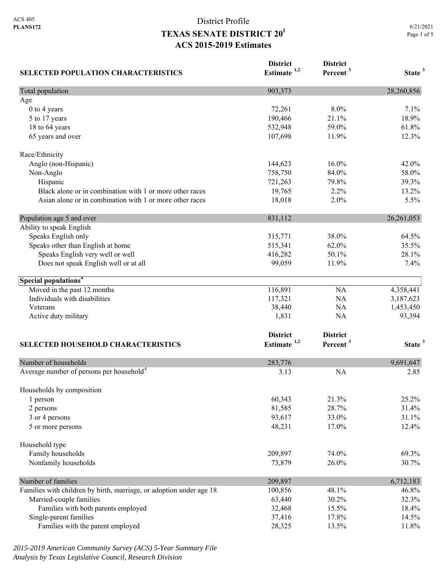# District Profile **TEXAS SENATE DISTRICT 201 ACS 2015-2019 Estimates**

| <b>SELECTED POPULATION CHARACTERISTICS</b>                          | <b>District</b><br>Estimate <sup>1,2</sup> | <b>District</b><br>Percent <sup>3</sup> | State <sup>3</sup> |
|---------------------------------------------------------------------|--------------------------------------------|-----------------------------------------|--------------------|
| Total population                                                    | 903,373                                    |                                         | 28,260,856         |
| Age                                                                 |                                            |                                         |                    |
| 0 to 4 years                                                        | 72,261                                     | 8.0%                                    | 7.1%               |
| 5 to 17 years                                                       | 190,466                                    | 21.1%                                   | 18.9%              |
| 18 to 64 years                                                      | 532,948                                    | 59.0%                                   | 61.8%              |
| 65 years and over                                                   | 107,698                                    | 11.9%                                   | 12.3%              |
| Race/Ethnicity                                                      |                                            |                                         |                    |
| Anglo (non-Hispanic)                                                | 144,623                                    | 16.0%                                   | 42.0%              |
| Non-Anglo                                                           | 758,750                                    | 84.0%                                   | 58.0%              |
| Hispanic                                                            | 721,263                                    | 79.8%                                   | 39.3%              |
| Black alone or in combination with 1 or more other races            | 19,765                                     | 2.2%                                    | 13.2%              |
| Asian alone or in combination with 1 or more other races            | 18,018                                     | 2.0%                                    | 5.5%               |
| Population age 5 and over                                           | 831,112                                    |                                         | 26,261,053         |
| Ability to speak English                                            |                                            |                                         |                    |
| Speaks English only                                                 | 315,771                                    | 38.0%                                   | 64.5%              |
| Speaks other than English at home                                   | 515,341                                    | 62.0%                                   | 35.5%              |
| Speaks English very well or well                                    | 416,282                                    | 50.1%                                   | 28.1%              |
| Does not speak English well or at all                               | 99,059                                     | 11.9%                                   | 7.4%               |
| Special populations <sup>4</sup>                                    |                                            |                                         |                    |
| Moved in the past 12 months                                         | 116,891                                    | NA                                      | 4,358,441          |
| Individuals with disabilities                                       | 117,321                                    | NA                                      | 3,187,623          |
| Veterans                                                            | 38,440                                     | NA                                      | 1,453,450          |
| Active duty military                                                | 1,831                                      | NA                                      | 93,394             |
|                                                                     | <b>District</b>                            | <b>District</b>                         |                    |
| <b>SELECTED HOUSEHOLD CHARACTERISTICS</b>                           | Estimate <sup>1,2</sup>                    | Percent <sup>3</sup>                    | State <sup>3</sup> |
| Number of households                                                | 283,776                                    |                                         | 9,691,647          |
| Average number of persons per household <sup>4</sup>                | 3.13                                       | <b>NA</b>                               | 2.85               |
| Households by composition                                           |                                            |                                         |                    |
| 1 person                                                            | 60,343                                     | 21.3%                                   | 25.2%              |
| 2 persons                                                           | 81,585                                     | 28.7%                                   | 31.4%              |
| 3 or 4 persons                                                      | 93,617                                     | 33.0%                                   | 31.1%              |
| 5 or more persons                                                   | 48,231                                     | 17.0%                                   | 12.4%              |
| Household type                                                      |                                            |                                         |                    |
| Family households                                                   | 209,897                                    | 74.0%                                   | 69.3%              |
| Nonfamily households                                                | 73,879                                     | 26.0%                                   | 30.7%              |
| Number of families                                                  | 209,897                                    |                                         | 6,712,183          |
| Families with children by birth, marriage, or adoption under age 18 | 100,856                                    | 48.1%                                   | 46.8%              |
| Married-couple families                                             | 63,440                                     | 30.2%                                   | 32.3%              |
| Families with both parents employed                                 | 32,468                                     | 15.5%                                   | 18.4%              |
| Single-parent families                                              | 37,416                                     | 17.8%                                   | 14.5%              |
| Families with the parent employed                                   | 28,325                                     | 13.5%                                   | 11.8%              |

*2015-2019 American Community Survey (ACS) 5-Year Summary File Analysis by Texas Legislative Council, Research Division*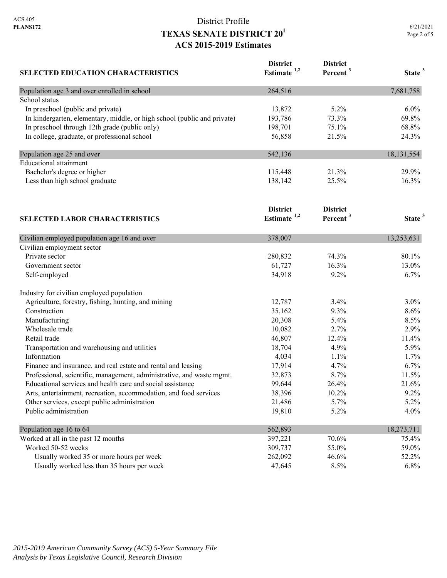## District Profile **TEXAS SENATE DISTRICT 201 ACS 2015-2019 Estimates**

| <b>SELECTED EDUCATION CHARACTERISTICS</b>                                | <b>District</b><br>Estimate $1,2$ | <b>District</b><br>Percent <sup>3</sup> | State <sup>3</sup> |
|--------------------------------------------------------------------------|-----------------------------------|-----------------------------------------|--------------------|
| Population age 3 and over enrolled in school                             | 264,516                           |                                         | 7,681,758          |
| School status                                                            |                                   |                                         |                    |
| In preschool (public and private)                                        | 13,872                            | 5.2%                                    | $6.0\%$            |
| In kindergarten, elementary, middle, or high school (public and private) | 193,786                           | 73.3%                                   | 69.8%              |
| In preschool through 12th grade (public only)                            | 198,701                           | 75.1%                                   | 68.8%              |
| In college, graduate, or professional school                             | 56,858                            | 21.5%                                   | 24.3%              |
| Population age 25 and over                                               | 542,136                           |                                         | 18,131,554         |
| <b>Educational</b> attainment                                            |                                   |                                         |                    |
| Bachelor's degree or higher                                              | 115,448                           | 21.3%                                   | 29.9%              |
| Less than high school graduate                                           | 138,142                           | 25.5%                                   | 16.3%              |
|                                                                          | <b>District</b>                   | <b>District</b>                         |                    |
| <b>SELECTED LABOR CHARACTERISTICS</b>                                    | Estimate $1,2$                    | Percent <sup>3</sup>                    | State <sup>3</sup> |
| Civilian employed population age 16 and over                             | 378,007                           |                                         | 13,253,631         |
| Civilian employment sector                                               |                                   |                                         |                    |
| Private sector                                                           | 280,832                           | 74.3%                                   | 80.1%              |
| Government sector                                                        | 61,727                            | 16.3%                                   | 13.0%              |
| Self-employed                                                            | 34,918                            | 9.2%                                    | 6.7%               |
| Industry for civilian employed population                                |                                   |                                         |                    |
| Agriculture, forestry, fishing, hunting, and mining                      | 12,787                            | 3.4%                                    | 3.0%               |
| Construction                                                             | 35,162                            | 9.3%                                    | 8.6%               |
| Manufacturing                                                            | 20,308                            | 5.4%                                    | 8.5%               |
| Wholesale trade                                                          | 10,082                            | 2.7%                                    | 2.9%               |
| Retail trade                                                             | 46,807                            | 12.4%                                   | 11.4%              |
| Transportation and warehousing and utilities                             | 18,704                            | 4.9%                                    | 5.9%               |
| Information                                                              | 4,034                             | 1.1%                                    | 1.7%               |
| Finance and insurance, and real estate and rental and leasing            | 17,914                            | 4.7%                                    | 6.7%               |
| Professional, scientific, management, administrative, and waste mgmt.    | 32,873                            | 8.7%                                    | 11.5%              |
| Educational services and health care and social assistance               | 99,644                            | 26.4%                                   | 21.6%              |
| Arts, entertainment, recreation, accommodation, and food services        | 38,396                            | 10.2%                                   | 9.2%               |
| Other services, except public administration                             | 21,486                            | 5.7%                                    | 5.2%               |
| Public administration                                                    | 19,810                            | 5.2%                                    | 4.0%               |
| Population age 16 to 64                                                  | 562,893                           |                                         | 18,273,711         |
| Worked at all in the past 12 months                                      | 397,221                           | 70.6%                                   | 75.4%              |
| Worked 50-52 weeks                                                       | 309,737                           | 55.0%                                   | 59.0%              |
| Usually worked 35 or more hours per week                                 | 262,092                           | 46.6%                                   | 52.2%              |

Usually worked less than 35 hours per week 47,645 8.5% 6.8%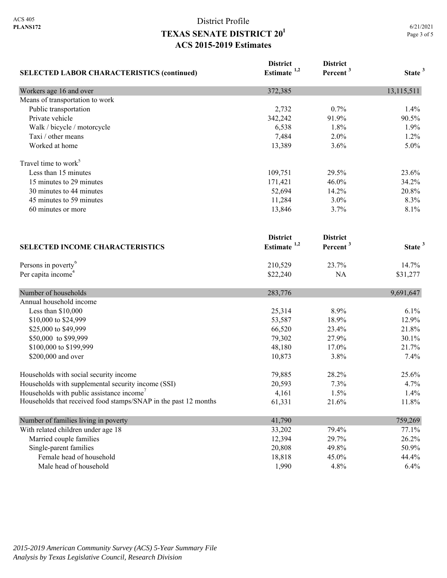# District Profile **TEXAS SENATE DISTRICT 201 ACS 2015-2019 Estimates**

| <b>SELECTED LABOR CHARACTERISTICS (continued)</b>               | <b>District</b><br>Estimate $1,2$ | <b>District</b><br>Percent <sup>3</sup> | State <sup>3</sup> |
|-----------------------------------------------------------------|-----------------------------------|-----------------------------------------|--------------------|
| Workers age 16 and over                                         | 372,385                           |                                         | 13,115,511         |
| Means of transportation to work                                 |                                   |                                         |                    |
| Public transportation                                           | 2,732                             | 0.7%                                    | 1.4%               |
| Private vehicle                                                 | 342,242                           | 91.9%                                   | 90.5%              |
| Walk / bicycle / motorcycle                                     | 6,538                             | 1.8%                                    | 1.9%               |
| Taxi / other means                                              | 7,484                             | 2.0%                                    | 1.2%               |
| Worked at home                                                  | 13,389                            | 3.6%                                    | 5.0%               |
| Travel time to work <sup>5</sup>                                |                                   |                                         |                    |
| Less than 15 minutes                                            | 109,751                           | 29.5%                                   | 23.6%              |
| 15 minutes to 29 minutes                                        | 171,421                           | 46.0%                                   | 34.2%              |
| 30 minutes to 44 minutes                                        | 52,694                            | 14.2%                                   | 20.8%              |
| 45 minutes to 59 minutes                                        | 11,284                            | 3.0%                                    | 8.3%               |
| 60 minutes or more                                              | 13,846                            | 3.7%                                    | 8.1%               |
|                                                                 | <b>District</b>                   | <b>District</b>                         |                    |
| <b>SELECTED INCOME CHARACTERISTICS</b>                          | Estimate <sup>1,2</sup>           | Percent <sup>3</sup>                    | State <sup>3</sup> |
| Persons in poverty <sup>6</sup>                                 | 210,529                           | 23.7%                                   | 14.7%              |
| Per capita income <sup>4</sup>                                  | \$22,240                          | NA                                      | \$31,277           |
| Number of households                                            | 283,776                           |                                         | 9,691,647          |
| Annual household income                                         |                                   |                                         |                    |
| Less than \$10,000                                              | 25,314                            | 8.9%                                    | 6.1%               |
| \$10,000 to \$24,999                                            | 53,587                            | 18.9%                                   | 12.9%              |
| \$25,000 to \$49,999                                            | 66,520                            | 23.4%                                   | 21.8%              |
| \$50,000 to \$99,999                                            | 79,302                            | 27.9%                                   | 30.1%              |
| \$100,000 to \$199,999                                          | 48,180                            | 17.0%                                   | 21.7%              |
| \$200,000 and over                                              | 10,873                            | 3.8%                                    | 7.4%               |
| Households with social security income                          | 79,885                            | 28.2%                                   | 25.6%              |
| Households with supplemental security income (SSI)              | 20,593                            | 7.3%                                    | 4.7%               |
| Households with public assistance income'                       | 4,161                             | 1.5%                                    | 1.4%               |
| Households that received food stamps/SNAP in the past 12 months | 61,331                            | 21.6%                                   | 11.8%              |
| Number of families living in poverty                            | 41,790                            |                                         | 759,269            |
| With related children under age 18                              | 33,202                            | 79.4%                                   | 77.1%              |
| Married couple families                                         | 12,394                            | 29.7%                                   | 26.2%              |
| Single-parent families                                          | 20,808                            | 49.8%                                   | 50.9%              |
| Female head of household                                        | 18,818                            | 45.0%                                   | 44.4%              |
| Male head of household                                          | 1,990                             | 4.8%                                    | 6.4%               |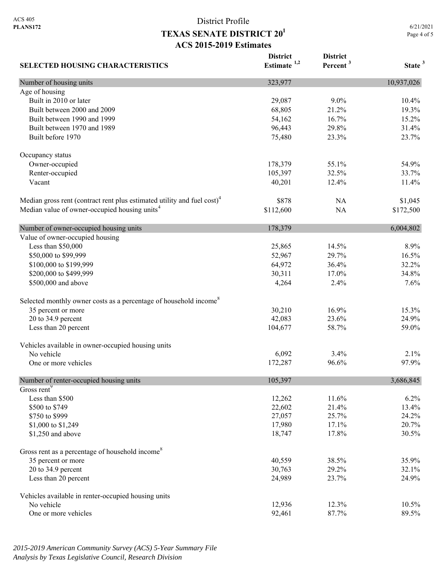**SELECTED HOUSING CHARACTERISTICS**

### District Profile **TEXAS SENATE DISTRICT 201 ACS 2015-2019 Estimates**

**District Estimate 1,2**  **District** 

**Percent <sup>3</sup> State <sup>3</sup>**

Number of housing units 323,977 10,937,026 Age of housing Built in 2010 or later 10.4% 10.4% 10.4% 10.4% 10.4% 10.4% 10.4% 10.4% 10.4% 10.4% 10.5 mm Built between 2000 and 2009 19.3% 19.3% 19.3% 19.3% 19.3% 19.3% Built between 1990 and 1999 15.2% 16.7% 16.7% 15.2% Built between 1970 and 1989 **96,443** 29.8% 31.4% Built before 1970 23.7% 23.7% 23.7% Occupancy status Owner-occupied 178,379 55.1% 54.9% Renter-occupied 105,397 32.5% 33.7% 33.7% Vacant 11.4% 11.4% 12.4% 12.4% 12.4% 12.4% 12.4% 12.4% 12.4% 12.4% 12.4% 12.4% 12.4% 12.4% 12.4% 12.4% 12.4% 12.5 \ 11.4% 12.5 \ 12.4 \ 12.4 \ 12.4 \ 12.4 \ 12.4 \ 12.4 \ 12.4 \ 12.4 \ 12.4 \ 12.4 \ 12.4 \ 12.4 \ 12.4 \ 12 Median gross rent (contract rent plus estimated utility and fuel cost)<sup>4</sup> \$878 NA \$1,045 Median value of owner-occupied housing units<sup>4</sup> \$112,600 NA \$172,500 Number of owner-occupied housing units 178,379 6,004,802 Value of owner-occupied housing Less than \$50,000 25,865 14.5% 8.9% \$50,000 to \$99,999 52,967 29.7% 16.5% \$100,000 to \$199,999 64,972 36.4% 32.2% 32.2% \$200,000 to \$499,999 30,311 17.0% 34.8% \$500,000 and above 4,264 2.4% 7.6% Selected monthly owner costs as a percentage of household income<sup>8</sup> 35 percent or more 30,210 16.9% 15.3% 20 to 34.9 percent 24.9% 24.9% 24.9% 24.9% 24.9% 25.6% 24.9% 25.6% 24.9% 26.9% 26.9% 26.9% 26.9% 26.9% 26.9% 26 Less than 20 percent 59.0% 59.0% 59.0% 59.0% 59.0% 59.0% 59.0% Vehicles available in owner-occupied housing units No vehicle  $6,092$   $3.4\%$   $2.1\%$  One or more vehicles 172,287 96.6% 97.9% Number of renter-occupied housing units 105,397 3,686,845 Gross rent<sup>9</sup> Less than \$500 12,262 11.6% 6.2% \$500 to \$749 22,602 21.4% 22,602 21.4% 13.4%  $$750 \text{ to } $999$  24.2% 24.2% \$1,000 to \$1,249 17,980 17.1% 20.7% \$1,250 and above 18,747 17.8% 30.5% Gross rent as a percentage of household income<sup>8</sup> 35 percent or more 35.9% 35.9% 35.9% 20 to 34.9 percent 30,763 29.2% 32.1% Less than 20 percent 24.989 23.7% 24.9% Vehicles available in renter-occupied housing units No vehicle 12,936 12.3% 10.5% 10.5% One or more vehicles 89.5% 89.5%